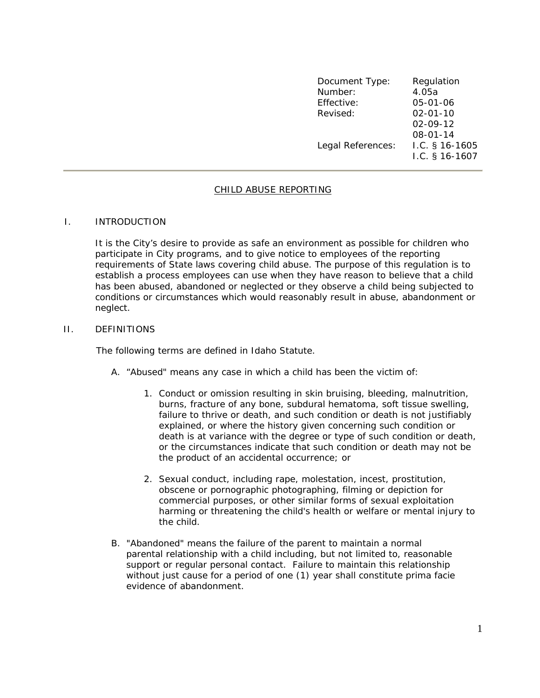| Document Type:<br>Number: | Regulation<br>4.05a                  |
|---------------------------|--------------------------------------|
| Effective:                | $05 - 01 - 06$                       |
| Revised:                  | $02 - 01 - 10$                       |
|                           | $02 - 09 - 12$                       |
|                           | $08 - 01 - 14$                       |
| Legal References:         | I.C. $§$ 16-1605<br>I.C. $§$ 16-1607 |

# CHILD ABUSE REPORTING

### I. INTRODUCTION

It is the City's desire to provide as safe an environment as possible for children who participate in City programs, and to give notice to employees of the reporting requirements of State laws covering child abuse. The purpose of this regulation is to establish a process employees can use when they have reason to believe that a child has been abused, abandoned or neglected or they observe a child being subjected to conditions or circumstances which would reasonably result in abuse, abandonment or neglect.

### II. DEFINITIONS

The following terms are defined in Idaho Statute.

- A. "Abused" means any case in which a child has been the victim of:
	- 1. Conduct or omission resulting in skin bruising, bleeding, malnutrition, burns, fracture of any bone, subdural hematoma, soft tissue swelling, failure to thrive or death, and such condition or death is not justifiably explained, or where the history given concerning such condition or death is at variance with the degree or type of such condition or death, or the circumstances indicate that such condition or death may not be the product of an accidental occurrence; or
	- 2. Sexual conduct, including rape, molestation, incest, prostitution, obscene or pornographic photographing, filming or depiction for commercial purposes, or other similar forms of sexual exploitation harming or threatening the child's health or welfare or mental injury to the child.
- B. "Abandoned" means the failure of the parent to maintain a normal parental relationship with a child including, but not limited to, reasonable support or regular personal contact. Failure to maintain this relationship without just cause for a period of one (1) year shall constitute prima facie evidence of abandonment.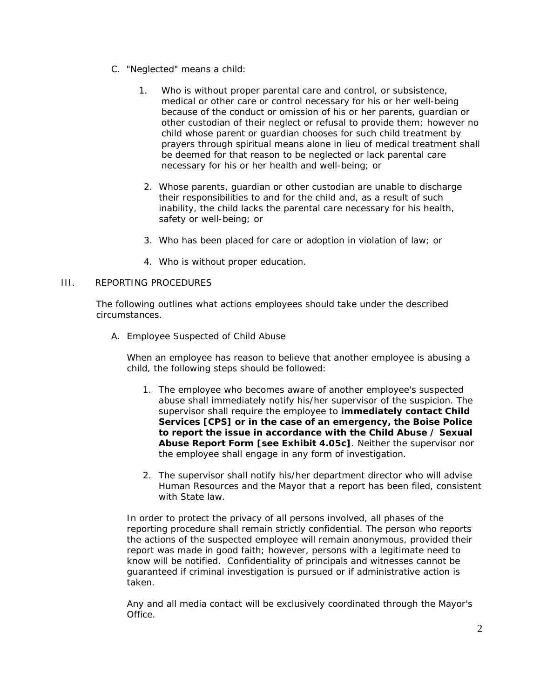- C. "Neglected" means a child:
	- 1. Who is without proper parental care and control, or subsistence, medical or other care or control necessary for his or her well-being because of the conduct or omission of his or her parents, guardian or other custodian of their neglect or refusal to provide them; however no child whose parent or guardian chooses for such child treatment by prayers through spiritual means alone in lieu of medical treatment shall be deemed for that reason to be neglected or lack parental care necessary for his or her health and well-being; or b
	- 2. Whose parents, guardian or other custodian are unable to discharge their responsibilities to and for the child and, as a result of such inability, the child lacks the parental care necessary for his health, safety or well-being; or
	- 3. Who has been placed for care or adoption in violation of law; or
	- 4. Who is without proper education.

# III. REPORTING PROCEDURES

The following outlines what actions employees should take under the described circumstances.

A. Employee Suspected of Child Abuse

When an employee has reason to believe that another employee is abusing a child, the following steps should be followed:

- 1. The employee who becomes aware of another employee's suspected abuse shall immediately notify his/her supervisor of the suspicion. The supervisor shall require the employee to **immediately contact Child Services [CPS] or in the case of an emergency, the Boise Police to report the issue in accordance with the Child Abuse / Sexual Abuse Report Form [see Exhibit 4.05c]**. Neither the supervisor nor the employee shall engage in any form of investigation.
- 2. The supervisor shall notify his/her department director who will advise Human Resources and the Mayor that a report has been filed, consistent with State law.

In order to protect the privacy of all persons involved, all phases of the reporting procedure shall remain strictly confidential. The person who reports the actions of the suspected employee will remain anonymous, provided their report was made in good faith; however, persons with a legitimate need to know will be notified. Confidentiality of principals and witnesses cannot be guaranteed if criminal investigation is pursued or if administrative action is taken.

Any and all media contact will be exclusively coordinated through the Mayor's Office.